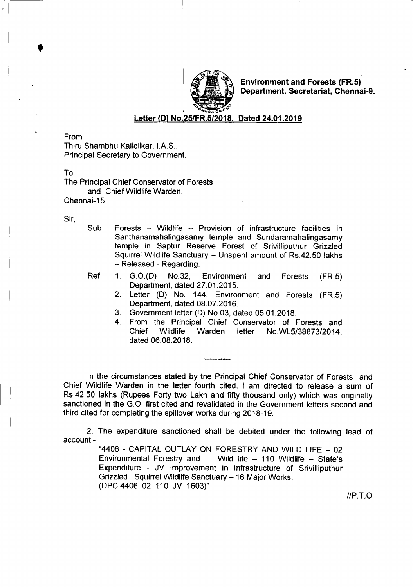

Environment and Forests (FR.5) Department, Secretariat, Chennai-9.

Letter (D) No.251FR.5/2018, Dated 24.01.2019

From

•

-  $~\cdot$   $~\cdot$ 

> Thiru.Shambhu Kallolikar, I.A.S., Principal Secretary to Government.

To

The Principal Chief Conservator of Forests and Chief Wildlife Warden, Chennai-15.

Sir,

- Sub: Forests Wildlife Provision of infrastructure facilities in Santhanamahalingasamy temple and Sundaramahalingasamy temple in Saptur Reserve Forest of Srivilliputhur Grizzled Squirrel Wildlife Sanctuary - Unspent amount of Rs.42.50 lakhs - Released - Regarding.
- 
- Ref: 1. G.O.(D) No.32, Environment and Forests (FR.5) Department, dated 27.01.2015.
	- 2. Letter (D) No. 144, Environment and Forests (FR.5) Department, dated 08.07.2016.
	- 3. Government letter (D) No.03, dated 05.01.2018.
	- 4. From the Principal Chief Conservator of Forests and Chief Wildlife Warden letter No.WL5/38873/2014, dated 06.08.2018.

In the circumstances stated by the Principal Chief Conservator of Forests and Chief Wildlife Warden in the letter fourth cited, I am directed to release a sum of Rs.42.50 lakhs (Rupees Forty two Lakh and fifty thousand only) which was originally sanctioned in the G.O. first cited and revalidated in the Government letters second and third cited for completing the spillover works during 2018-19.

2. The expenditure sanctioned shall be debited under the following lead of account:-

> "4406 - CAPITAL OUTLAY ON FORESTRY AND WILD LIFE - 02 Environmental Forestry and Wild life - 110 Wildlife - State's Expenditure - JV Improvement in Infrastructure of Srivilliputhur Grizzled Squirrel Wildlife Sanctuary - 16 Major Works. (DPC 4406 02 110 JV 1603)"

> > *IIP.T.O*